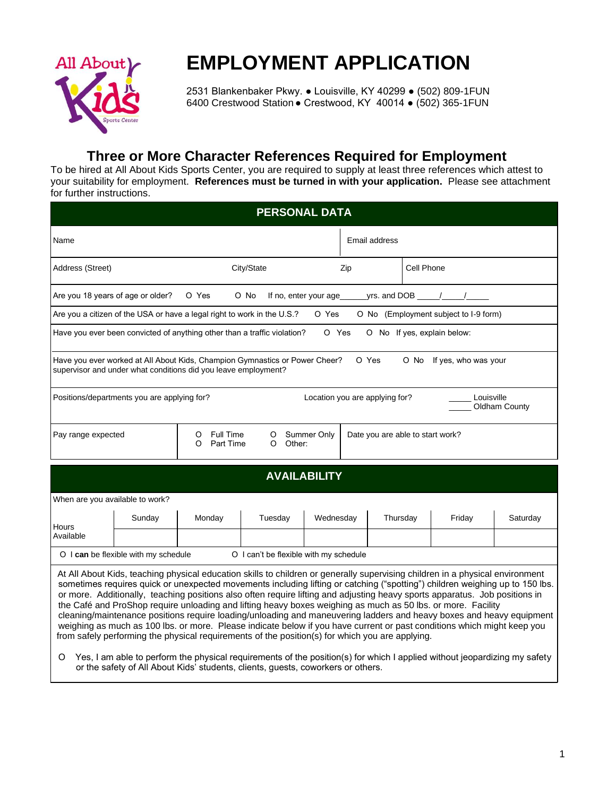

# **EMPLOYMENT APPLICATION**

 2531 Blankenbaker Pkwy. ● Louisville, KY 40299 ● (502) 809-1FUN 6400 Crestwood Station● Crestwood, KY 40014 ● (502) 365-1FUN

## **Three or More Character References Required for Employment**

To be hired at All About Kids Sports Center, you are required to supply at least three references which attest to your suitability for employment. **References must be turned in with your application.** Please see attachment for further instructions.

|                                       |                                             |                                                                                                                                                                                                                                                                                                                                                                                                                                                                                                                                                                                                                                                                                                                                                                                                                                                                    | <b>PERSONAL DATA</b>                   |                                |                                  |                             |  |                                       |               |
|---------------------------------------|---------------------------------------------|--------------------------------------------------------------------------------------------------------------------------------------------------------------------------------------------------------------------------------------------------------------------------------------------------------------------------------------------------------------------------------------------------------------------------------------------------------------------------------------------------------------------------------------------------------------------------------------------------------------------------------------------------------------------------------------------------------------------------------------------------------------------------------------------------------------------------------------------------------------------|----------------------------------------|--------------------------------|----------------------------------|-----------------------------|--|---------------------------------------|---------------|
| Name                                  |                                             |                                                                                                                                                                                                                                                                                                                                                                                                                                                                                                                                                                                                                                                                                                                                                                                                                                                                    |                                        | Email address                  |                                  |                             |  |                                       |               |
| City/State<br>Address (Street)<br>Zip |                                             |                                                                                                                                                                                                                                                                                                                                                                                                                                                                                                                                                                                                                                                                                                                                                                                                                                                                    |                                        | Cell Phone                     |                                  |                             |  |                                       |               |
| Are you 18 years of age or older?     |                                             | O Yes                                                                                                                                                                                                                                                                                                                                                                                                                                                                                                                                                                                                                                                                                                                                                                                                                                                              | O No                                   |                                |                                  |                             |  |                                       |               |
|                                       |                                             | Are you a citizen of the USA or have a legal right to work in the U.S.?                                                                                                                                                                                                                                                                                                                                                                                                                                                                                                                                                                                                                                                                                                                                                                                            |                                        | O Yes                          |                                  |                             |  | O No (Employment subject to I-9 form) |               |
|                                       |                                             | Have you ever been convicted of anything other than a traffic violation?                                                                                                                                                                                                                                                                                                                                                                                                                                                                                                                                                                                                                                                                                                                                                                                           |                                        | O Yes                          |                                  | O No If yes, explain below: |  |                                       |               |
|                                       |                                             | Have you ever worked at All About Kids, Champion Gymnastics or Power Cheer?<br>supervisor and under what conditions did you leave employment?                                                                                                                                                                                                                                                                                                                                                                                                                                                                                                                                                                                                                                                                                                                      |                                        |                                | O Yes                            |                             |  | O No If yes, who was your             |               |
|                                       | Positions/departments you are applying for? |                                                                                                                                                                                                                                                                                                                                                                                                                                                                                                                                                                                                                                                                                                                                                                                                                                                                    |                                        | Location you are applying for? |                                  |                             |  | Louisville                            | Oldham County |
| Pay range expected                    |                                             | Full Time<br>Summer Only<br>O<br>O<br><b>Part Time</b><br>Other:<br>O<br>O                                                                                                                                                                                                                                                                                                                                                                                                                                                                                                                                                                                                                                                                                                                                                                                         |                                        |                                | Date you are able to start work? |                             |  |                                       |               |
|                                       |                                             |                                                                                                                                                                                                                                                                                                                                                                                                                                                                                                                                                                                                                                                                                                                                                                                                                                                                    | <b>AVAILABILITY</b>                    |                                |                                  |                             |  |                                       |               |
| When are you available to work?       |                                             |                                                                                                                                                                                                                                                                                                                                                                                                                                                                                                                                                                                                                                                                                                                                                                                                                                                                    |                                        |                                |                                  |                             |  |                                       |               |
| Hours                                 | Sunday                                      | Monday                                                                                                                                                                                                                                                                                                                                                                                                                                                                                                                                                                                                                                                                                                                                                                                                                                                             | Tuesday                                | Wednesday                      |                                  | Thursday                    |  | Friday                                | Saturday      |
| Available                             |                                             |                                                                                                                                                                                                                                                                                                                                                                                                                                                                                                                                                                                                                                                                                                                                                                                                                                                                    |                                        |                                |                                  |                             |  |                                       |               |
|                                       | O I can be flexible with my schedule        |                                                                                                                                                                                                                                                                                                                                                                                                                                                                                                                                                                                                                                                                                                                                                                                                                                                                    | O I can't be flexible with my schedule |                                |                                  |                             |  |                                       |               |
|                                       |                                             | At All About Kids, teaching physical education skills to children or generally supervising children in a physical environment<br>sometimes requires quick or unexpected movements including lifting or catching ("spotting") children weighing up to 150 lbs.<br>or more. Additionally, teaching positions also often require lifting and adjusting heavy sports apparatus. Job positions in<br>the Café and ProShop require unloading and lifting heavy boxes weighing as much as 50 lbs. or more. Facility<br>cleaning/maintenance positions require loading/unloading and maneuvering ladders and heavy boxes and heavy equipment<br>weighing as much as 100 lbs. or more. Please indicate below if you have current or past conditions which might keep you<br>from safely performing the physical requirements of the position(s) for which you are applying. |                                        |                                |                                  |                             |  |                                       |               |

 Ο Yes, I am able to perform the physical requirements of the position(s) for which I applied without jeopardizing my safety or the safety of All About Kids' students, clients, guests, coworkers or others.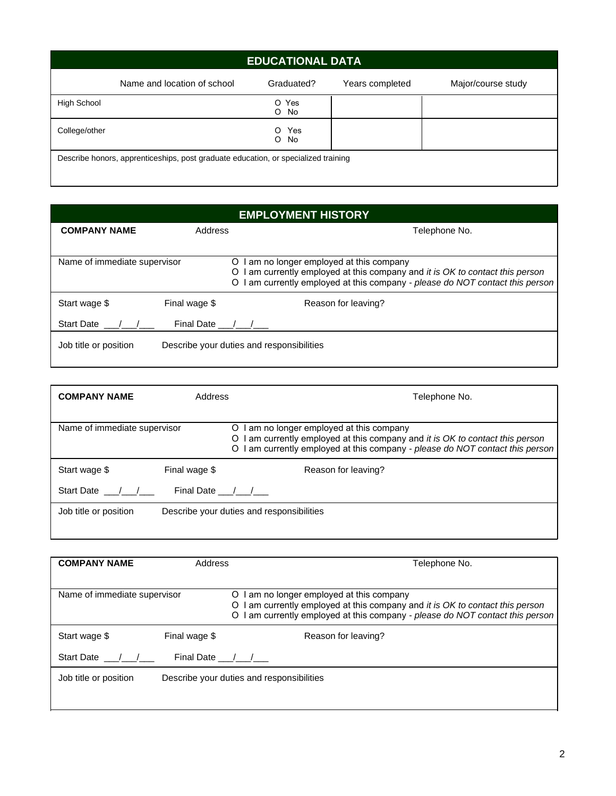|               |                                                                                    | <b>EDUCATIONAL DATA</b> |                 |                    |
|---------------|------------------------------------------------------------------------------------|-------------------------|-----------------|--------------------|
|               | Name and location of school                                                        | Graduated?              | Years completed | Major/course study |
| High School   |                                                                                    | O Yes<br>No<br>O        |                 |                    |
| College/other |                                                                                    | Yes<br>O.<br>No<br>O    |                 |                    |
|               | Describe honors, apprenticeships, post graduate education, or specialized training |                         |                 |                    |

| <b>EMPLOYMENT HISTORY</b>    |                |                                                                                                                                                                                                                    |  |  |  |
|------------------------------|----------------|--------------------------------------------------------------------------------------------------------------------------------------------------------------------------------------------------------------------|--|--|--|
| <b>COMPANY NAME</b>          | Address        | Telephone No.                                                                                                                                                                                                      |  |  |  |
|                              |                |                                                                                                                                                                                                                    |  |  |  |
| Name of immediate supervisor |                | am no longer employed at this company<br>O<br>I am currently employed at this company and it is OK to contact this person<br>O<br>am currently employed at this company - please do NOT contact this person  <br>O |  |  |  |
| Start wage \$                | Final wage \$  | Reason for leaving?                                                                                                                                                                                                |  |  |  |
| <b>Start Date</b>            | Final Date / / |                                                                                                                                                                                                                    |  |  |  |
| Job title or position        |                | Describe your duties and responsibilities                                                                                                                                                                          |  |  |  |

| <b>COMPANY NAME</b>          | Address        | Telephone No.                                                                                                                                                                                                        |
|------------------------------|----------------|----------------------------------------------------------------------------------------------------------------------------------------------------------------------------------------------------------------------|
| Name of immediate supervisor |                | I am no longer employed at this company<br>O<br>I am currently employed at this company and it is OK to contact this person<br>O<br>I am currently employed at this company - please do NOT contact this person<br>O |
| Start wage \$                | Final wage \$  | Reason for leaving?                                                                                                                                                                                                  |
| Start Date / /               | Final Date / / |                                                                                                                                                                                                                      |
| Job title or position        |                | Describe your duties and responsibilities                                                                                                                                                                            |
|                              |                |                                                                                                                                                                                                                      |

<u> 1989 - Johann Stoff, amerikansk politiker (\* 1908)</u>

| <b>COMPANY NAME</b>          | Address       | Telephone No.                                                                                                                                                                                                    |  |  |  |  |
|------------------------------|---------------|------------------------------------------------------------------------------------------------------------------------------------------------------------------------------------------------------------------|--|--|--|--|
| Name of immediate supervisor |               | am no longer employed at this company<br>O<br>I am currently employed at this company and it is OK to contact this person<br>O<br>am currently employed at this company - please do NOT contact this person<br>O |  |  |  |  |
| Start wage \$                | Final wage \$ | Reason for leaving?                                                                                                                                                                                              |  |  |  |  |
| <b>Start Date</b>            | Final Date /  |                                                                                                                                                                                                                  |  |  |  |  |
| Job title or position        |               | Describe your duties and responsibilities                                                                                                                                                                        |  |  |  |  |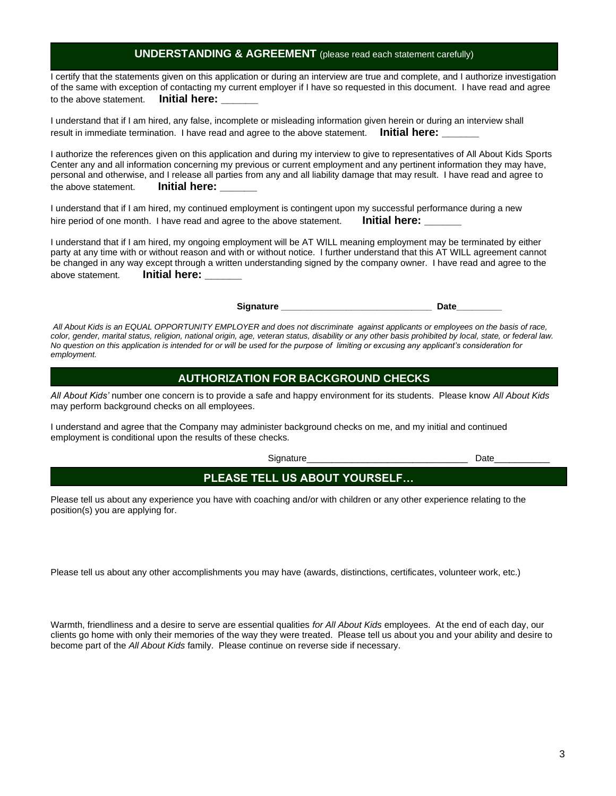## 3

#### **UNDERSTANDING & AGREEMENT** (please read each statement carefully)

I certify that the statements given on this application or during an interview are true and complete, and I authorize investigation of the same with exception of contacting my current employer if I have so requested in this document. I have read and agree to the above statement. **Initial here:** 

I understand that if I am hired, any false, incomplete or misleading information given herein or during an interview shall result in immediate termination. I have read and agree to the above statement. **Initial here:** 

I authorize the references given on this application and during my interview to give to representatives of All About Kids Sports Center any and all information concerning my previous or current employment and any pertinent information they may have, personal and otherwise, and I release all parties from any and all liability damage that may result. I have read and agree to the above statement. **Initial here: \_\_\_\_\_\_**

I understand that if I am hired, my continued employment is contingent upon my successful performance during a new hire period of one month. I have read and agree to the above statement. **Initial here:** 

I understand that if I am hired, my ongoing employment will be AT WILL meaning employment may be terminated by either party at any time with or without reason and with or without notice. I further understand that this AT WILL agreement cannot be changed in any way except through a written understanding signed by the company owner. I have read and agree to the above statement. **Initial here:** 

Signature Date

*All About Kids is an EQUAL OPPORTUNITY EMPLOYER and does not discriminate against applicants or employees on the basis of race, color, gender, marital status, religion, national origin, age, veteran status, disability or any other basis prohibited by local, state, or federal law. No question on this application is intended for or will be used for the purpose of limiting or excusing any applicant's consideration for employment.*

#### **AUTHORIZATION FOR BACKGROUND CHECKS**

*All About Kids'* number one concern is to provide a safe and happy environment for its students. Please know *All About Kids* may perform background checks on all employees.

I understand and agree that the Company may administer background checks on me, and my initial and continued employment is conditional upon the results of these checks.

٦

Signature\_\_\_\_\_\_\_\_\_\_\_\_\_\_\_\_\_\_\_\_\_\_\_\_\_\_\_\_\_\_\_\_ Date\_\_\_\_\_\_\_\_\_\_\_

### **PLEASE TELL US ABOUT YOURSELF…**

Please tell us about any experience you have with coaching and/or with children or any other experience relating to the position(s) you are applying for.

Please tell us about any other accomplishments you may have (awards, distinctions, certificates, volunteer work, etc.)

Warmth, friendliness and a desire to serve are essential qualities *for All About Kids* employees. At the end of each day, our clients go home with only their memories of the way they were treated. Please tell us about you and your ability and desire to become part of the *All About Kids* family. Please continue on reverse side if necessary.